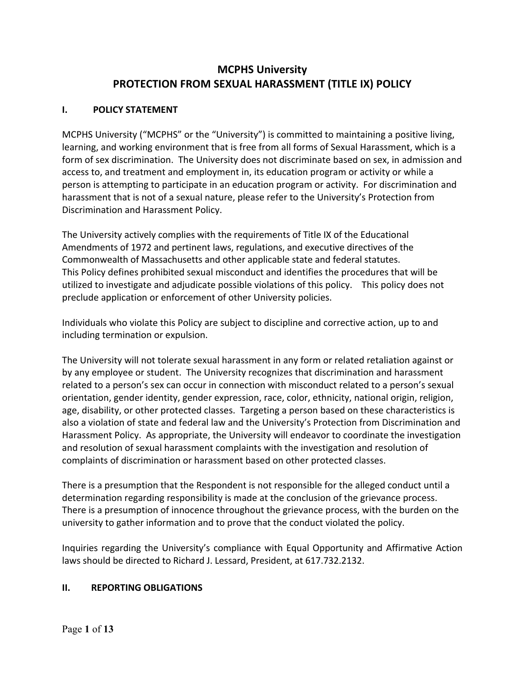# **PROTECTION FROM SEXUAL HARASSMENT (TITLE IX) POLICY MCPHS University**

#### **1. I. POLICY STATEMENT**

 MCPHS University ("MCPHS" or the "University") is committed to maintaining a positive living, learning, and working environment that is free from all forms of Sexual Harassment, which is a form of sex discrimination. The University does not discriminate based on sex, in admission and access to, and treatment and employment in, its education program or activity or while a person is attempting to participate in an education program or activity. For discrimination and harassment that is not of a sexual nature, please refer to the University's Protection from Discrimination and Harassment Policy.

 The University actively complies with the requirements of Title IX of the Educational Amendments of 1972 and pertinent laws, regulations, and executive directives of the Commonwealth of Massachusetts and other applicable state and federal statutes. Commonwealth of Massachusetts and other applicable state and federal statutes.<br>This Policy defines prohibited sexual misconduct and identifies the procedures that will be utilized to investigate and adjudicate possible violations of this policy. This policy does not preclude application or enforcement of other University policies.

 Individuals who violate this Policy are subject to discipline and corrective action, up to and including termination or expulsion.

 The University will not tolerate sexual harassment in any form or related retaliation against or by any employee or student. The University recognizes that discrimination and harassment related to a person's sex can occur in connection with misconduct related to a person's sexual orientation, gender identity, gender expression, race, color, ethnicity, national origin, religion, age, disability, or other protected classes. Targeting a person based on these characteristics is also a violation of state and federal law and the University's Protection from Discrimination and Harassment Policy. As appropriate, the University will endeavor to coordinate the investigation and resolution of sexual harassment complaints with the investigation and resolution of complaints of discrimination or harassment based on other protected classes.

 There is a presumption that the Respondent is not responsible for the alleged conduct until a determination regarding responsibility is made at the conclusion of the grievance process. There is a presumption of innocence throughout the grievance process, with the burden on the university to gather information and to prove that the conduct violated the policy.

Inquiries regarding the University's compliance with Equal Opportunity and Affirmative Action laws should be directed to Richard J. Lessard, President, at 617.732.2132.

#### $\mathbf{II}$ **II. REPORTING OBLIGATIONS**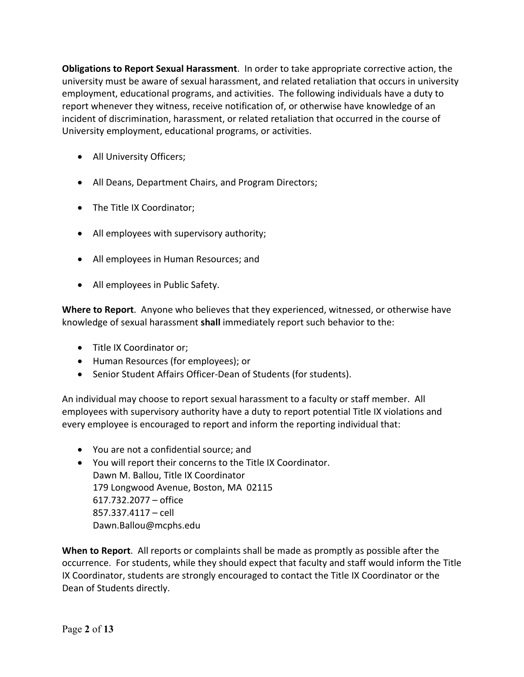**Obligations to Report Sexual Harassment**. In order to take appropriate corrective action, the university must be aware of sexual harassment, and related retaliation that occurs in university employment, educational programs, and activities. The following individuals have a duty to report whenever they witness, receive notification of, or otherwise have knowledge of an incident of discrimination, harassment, or related retaliation that occurred in the course of University employment, educational programs, or activities.

- All University Officers;
- All Deans, Department Chairs, and Program Directors;
- The Title IX Coordinator;
- All employees with supervisory authority;
- All employees in Human Resources; and
- All employees in Public Safety.

 **Where to Report**. Anyone who believes that they experienced, witnessed, or otherwise have knowledge of sexual harassment **shall** immediately report such behavior to the:

- Title IX Coordinator or;
- Human Resources (for employees); or
- Senior Student Affairs Officer-Dean of Students (for students).

 An individual may choose to report sexual harassment to a faculty or staff member. All employees with supervisory authority have a duty to report potential Title IX violations and every employee is encouraged to report and inform the reporting individual that:

- You are not a confidential source; and
- • You will report their concerns to the Title IX Coordinator. Dawn M. Ballou, Title IX Coordinator 179 Longwood Avenue, Boston, MA 02115 617.732.2077 – office 857.337.4117 – cell [Dawn.Ballou@mcphs.edu](mailto:Dawn.Ballou@mcphs.edu)

 **When to Report**. All reports or complaints shall be made as promptly as possible after the occurrence. For students, while they should expect that faculty and staff would inform the Title IX Coordinator, students are strongly encouraged to contact the Title IX Coordinator or the Dean of Students directly.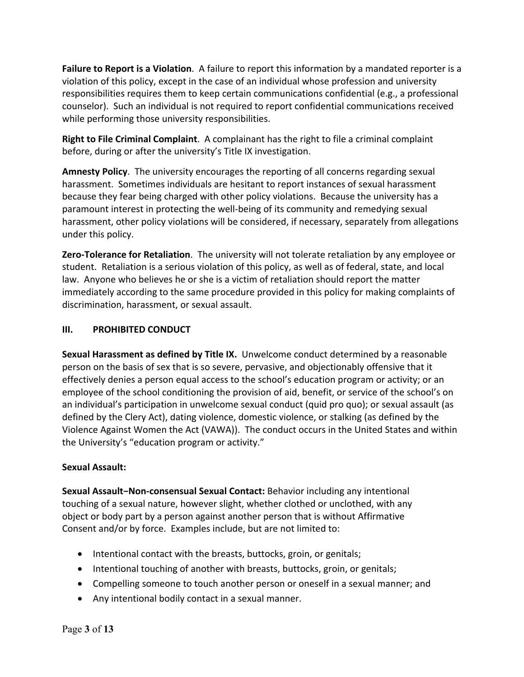**Failure to Report is a Violation**. A failure to report this information by a mandated reporter is a violation of this policy, except in the case of an individual whose profession and university responsibilities requires them to keep certain communications confidential (e.g., a professional counselor). Such an individual is not required to report confidential communications received while performing those university responsibilities.

 **Right to File Criminal Complaint**. A complainant has the right to file a criminal complaint before, during or after the university's Title IX investigation.

 **Amnesty Policy**. The university encourages the reporting of all concerns regarding sexual harassment. Sometimes individuals are hesitant to report instances of sexual harassment because they fear being charged with other policy violations. Because the university has a paramount interest in protecting the well-being of its community and remedying sexual harassment, other policy violations will be considered, if necessary, separately from allegations under this policy.

 **Zero-Tolerance for Retaliation**. The university will not tolerate retaliation by any employee or student. Retaliation is a serious violation of this policy, as well as of federal, state, and local law. Anyone who believes he or she is a victim of retaliation should report the matter immediately according to the same procedure provided in this policy for making complaints of discrimination, harassment, or sexual assault.

## **III. PROHIBITED CONDUCT**

 **Sexual Harassment as defined by Title IX.** Unwelcome conduct determined by a reasonable person on the basis of sex that is so severe, pervasive, and objectionably offensive that it effectively denies a person equal access to the school's education program or activity; or an employee of the school conditioning the provision of aid, benefit, or service of the school's on an individual's participation in unwelcome sexual conduct (quid pro quo); or sexual assault (as defined by the Clery Act), dating violence, domestic violence, or stalking (as defined by the Violence Against Women the Act (VAWA)). The conduct occurs in the United States and within the University's "education program or activity."

## **Sexual Assault:**

 **Sexual Assault−Non-consensual Sexual Contact:** Behavior including any intentional touching of a sexual nature, however slight, whether clothed or unclothed, with any object or body part by a person against another person that is without Affirmative Consent and/or by force. Examples include, but are not limited to:

- Intentional contact with the breasts, buttocks, groin, or genitals;
- Intentional touching of another with breasts, buttocks, groin, or genitals;
- Compelling someone to touch another person or oneself in a sexual manner; and
- Any intentional bodily contact in a sexual manner.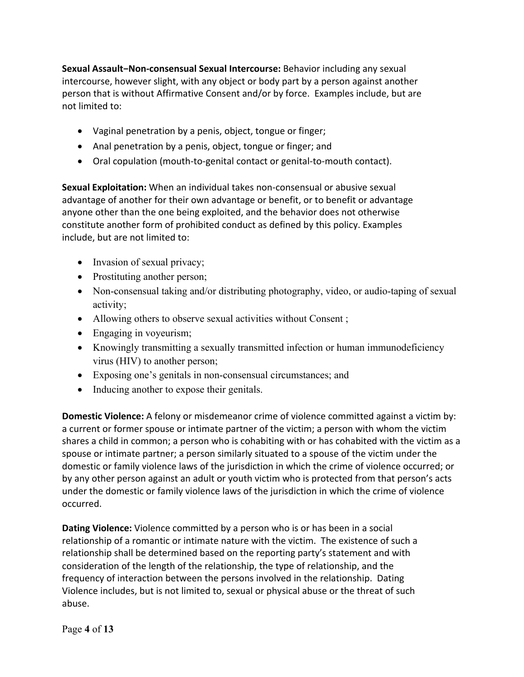**Sexual Assault−Non-consensual Sexual Intercourse:** Behavior including any sexual intercourse, however slight, with any object or body part by a person against another person that is without Affirmative Consent and/or by force. Examples include, but are not limited to:

- Vaginal penetration by a penis, object, tongue or finger;
- Anal penetration by a penis, object, tongue or finger; and
- Oral copulation (mouth-to-genital contact or genital-to-mouth contact).

 **Sexual Exploitation:** When an individual takes non-consensual or abusive sexual advantage of another for their own advantage or benefit, or to benefit or advantage anyone other than the one being exploited, and the behavior does not otherwise constitute another form of prohibited conduct as defined by this policy. Examples include, but are not limited to:

- Invasion of sexual privacy;
- Prostituting another person;
- Non-consensual taking and/or distributing photography, video, or audio-taping of sexual activity;
- Allowing others to observe sexual activities without Consent;
- Engaging in voyeurism;
- Knowingly transmitting a sexually transmitted infection or human immunodeficiency virus (HIV) to another person;
- Exposing one's genitals in non-consensual circumstances; and
- Inducing another to expose their genitals.

 **Domestic Violence:** A felony or misdemeanor crime of violence committed against a victim by: a current or former spouse or intimate partner of the victim; a person with whom the victim shares a child in common; a person who is cohabiting with or has cohabited with the victim as a spouse or intimate partner; a person similarly situated to a spouse of the victim under the domestic or family violence laws of the jurisdiction in which the crime of violence occurred; or by any other person against an adult or youth victim who is protected from that person's acts under the domestic or family violence laws of the jurisdiction in which the crime of violence occurred.

 **Dating Violence:** Violence committed by a person who is or has been in a social relationship of a romantic or intimate nature with the victim. The existence of such a relationship shall be determined based on the reporting party's statement and with consideration of the length of the relationship, the type of relationship, and the frequency of interaction between the persons involved in the relationship. Dating Violence includes, but is not limited to, sexual or physical abuse or the threat of such abuse.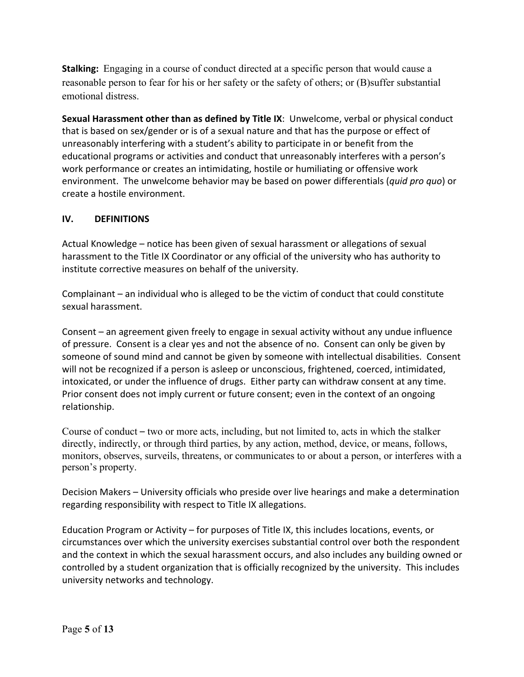**Stalking:** Engaging in a course of conduct directed at a specific person that would cause a reasonable person to fear for his or her safety or the safety of others; or (B)suffer substantial emotional distress.

 **Sexual Harassment other than as defined by Title IX**: Unwelcome, verbal or physical conduct that is based on sex/gender or is of a sexual nature and that has the purpose or effect of unreasonably interfering with a student's ability to participate in or benefit from the educational programs or activities and conduct that unreasonably interferes with a person's work performance or creates an intimidating, hostile or humiliating or offensive work environment. The unwelcome behavior may be based on power differentials (*quid pro quo*) or create a hostile environment.

### **IV. DEFINITIONS**

 Actual Knowledge – notice has been given of sexual harassment or allegations of sexual harassment to the Title IX Coordinator or any official of the university who has authority to institute corrective measures on behalf of the university.

 Complainant – an individual who is alleged to be the victim of conduct that could constitute sexual harassment.

 Consent – an agreement given freely to engage in sexual activity without any undue influence of pressure. Consent is a clear yes and not the absence of no. Consent can only be given by someone of sound mind and cannot be given by someone with intellectual disabilities. Consent will not be recognized if a person is asleep or unconscious, frightened, coerced, intimidated, intoxicated, or under the influence of drugs. Either party can withdraw consent at any time. Prior consent does not imply current or future consent; even in the context of an ongoing relationship.

Course of conduct – two or more acts, including, but not limited to, acts in which the stalker directly, indirectly, or through third parties, by any action, method, device, or means, follows, monitors, observes, surveils, threatens, or communicates to or about a person, or interferes with a person's property.

 Decision Makers – University officials who preside over live hearings and make a determination regarding responsibility with respect to Title IX allegations.

 Education Program or Activity – for purposes of Title IX, this includes locations, events, or circumstances over which the university exercises substantial control over both the respondent and the context in which the sexual harassment occurs, and also includes any building owned or controlled by a student organization that is officially recognized by the university. This includes university networks and technology.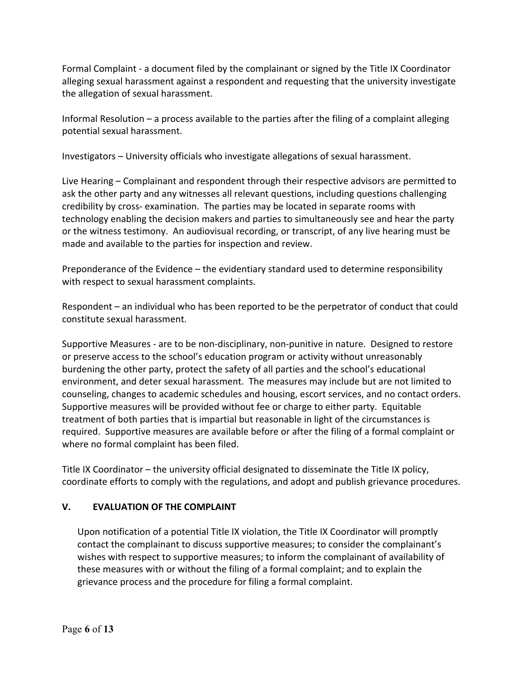Formal Complaint - a document filed by the complainant or signed by the Title IX Coordinator alleging sexual harassment against a respondent and requesting that the university investigate the allegation of sexual harassment.

 Informal Resolution – a process available to the parties after the filing of a complaint alleging potential sexual harassment.

Investigators – University officials who investigate allegations of sexual harassment.

 Live Hearing – Complainant and respondent through their respective advisors are permitted to ask the other party and any witnesses all relevant questions, including questions challenging credibility by cross- examination. The parties may be located in separate rooms with technology enabling the decision makers and parties to simultaneously see and hear the party or the witness testimony. An audiovisual recording, or transcript, of any live hearing must be made and available to the parties for inspection and review.

 Preponderance of the Evidence – the evidentiary standard used to determine responsibility with respect to sexual harassment complaints.

 Respondent – an individual who has been reported to be the perpetrator of conduct that could constitute sexual harassment.

 Supportive Measures - are to be non-disciplinary, non-punitive in nature. Designed to restore or preserve access to the school's education program or activity without unreasonably burdening the other party, protect the safety of all parties and the school's educational environment, and deter sexual harassment. The measures may include but are not limited to counseling, changes to academic schedules and housing, escort services, and no contact orders. Supportive measures will be provided without fee or charge to either party. Equitable treatment of both parties that is impartial but reasonable in light of the circumstances is required. Supportive measures are available before or after the filing of a formal complaint or where no formal complaint has been filed.

 Title IX Coordinator – the university official designated to disseminate the Title IX policy, coordinate efforts to comply with the regulations, and adopt and publish grievance procedures.

## **V. EVALUATION OF THE COMPLAINT**

 Upon notification of a potential Title IX violation, the Title IX Coordinator will promptly contact the complainant to discuss supportive measures; to consider the complainant's wishes with respect to supportive measures; to inform the complainant of availability of these measures with or without the filing of a formal complaint; and to explain the grievance process and the procedure for filing a formal complaint.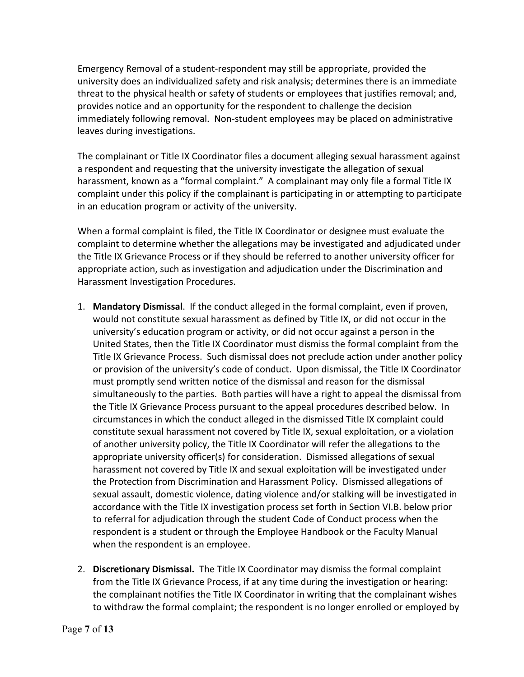Emergency Removal of a student-respondent may still be appropriate, provided the university does an individualized safety and risk analysis; determines there is an immediate threat to the physical health or safety of students or employees that justifies removal; and, provides notice and an opportunity for the respondent to challenge the decision immediately following removal. Non-student employees may be placed on administrative leaves during investigations.

 The complainant or Title IX Coordinator files a document alleging sexual harassment against a respondent and requesting that the university investigate the allegation of sexual harassment, known as a "formal complaint." A complainant may only file a formal Title IX complaint under this policy if the complainant is participating in or attempting to participate in an education program or activity of the university.

 When a formal complaint is filed, the Title IX Coordinator or designee must evaluate the complaint to determine whether the allegations may be investigated and adjudicated under the Title IX Grievance Process or if they should be referred to another university officer for appropriate action, such as investigation and adjudication under the Discrimination and Harassment Investigation Procedures.

- 1. **Mandatory Dismissal**. If the conduct alleged in the formal complaint, even if proven, would not constitute sexual harassment as defined by Title IX, or did not occur in the university's education program or activity, or did not occur against a person in the United States, then the Title IX Coordinator must dismiss the formal complaint from the Title IX Grievance Process. Such dismissal does not preclude action under another policy or provision of the university's code of conduct. Upon dismissal, the Title IX Coordinator must promptly send written notice of the dismissal and reason for the dismissal simultaneously to the parties. Both parties will have a right to appeal the dismissal from the Title IX Grievance Process pursuant to the appeal procedures described below. In circumstances in which the conduct alleged in the dismissed Title IX complaint could constitute sexual harassment not covered by Title IX, sexual exploitation, or a violation of another university policy, the Title IX Coordinator will refer the allegations to the appropriate university officer(s) for consideration. Dismissed allegations of sexual harassment not covered by Title IX and sexual exploitation will be investigated under the Protection from Discrimination and Harassment Policy. Dismissed allegations of sexual assault, domestic violence, dating violence and/or stalking will be investigated in accordance with the Title IX investigation process set forth in Section VI.B. below prior to referral for adjudication through the student Code of Conduct process when the respondent is a student or through the Employee Handbook or the Faculty Manual when the respondent is an employee.
- 2. **Discretionary Dismissal.** The Title IX Coordinator may dismiss the formal complaint from the Title IX Grievance Process, if at any time during the investigation or hearing: the complainant notifies the Title IX Coordinator in writing that the complainant wishes to withdraw the formal complaint; the respondent is no longer enrolled or employed by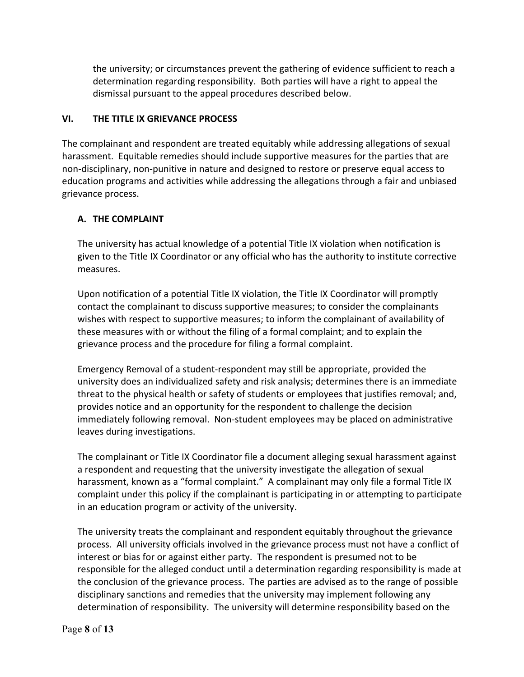the university; or circumstances prevent the gathering of evidence sufficient to reach a determination regarding responsibility. Both parties will have a right to appeal the dismissal pursuant to the appeal procedures described below.

## **VI. THE TITLE IX GRIEVANCE PROCESS**

 The complainant and respondent are treated equitably while addressing allegations of sexual harassment. Equitable remedies should include supportive measures for the parties that are non-disciplinary, non-punitive in nature and designed to restore or preserve equal access to education programs and activities while addressing the allegations through a fair and unbiased grievance process.

## **A. THE COMPLAINT**

 The university has actual knowledge of a potential Title IX violation when notification is given to the Title IX Coordinator or any official who has the authority to institute corrective measures.

 Upon notification of a potential Title IX violation, the Title IX Coordinator will promptly contact the complainant to discuss supportive measures; to consider the complainants wishes with respect to supportive measures; to inform the complainant of availability of these measures with or without the filing of a formal complaint; and to explain the grievance process and the procedure for filing a formal complaint.

 Emergency Removal of a student-respondent may still be appropriate, provided the university does an individualized safety and risk analysis; determines there is an immediate threat to the physical health or safety of students or employees that justifies removal; and, provides notice and an opportunity for the respondent to challenge the decision immediately following removal. Non-student employees may be placed on administrative leaves during investigations.

 The complainant or Title IX Coordinator file a document alleging sexual harassment against a respondent and requesting that the university investigate the allegation of sexual harassment, known as a "formal complaint." A complainant may only file a formal Title IX complaint under this policy if the complainant is participating in or attempting to participate in an education program or activity of the university.

 The university treats the complainant and respondent equitably throughout the grievance process. All university officials involved in the grievance process must not have a conflict of interest or bias for or against either party. The respondent is presumed not to be responsible for the alleged conduct until a determination regarding responsibility is made at the conclusion of the grievance process. The parties are advised as to the range of possible disciplinary sanctions and remedies that the university may implement following any determination of responsibility. The university will determine responsibility based on the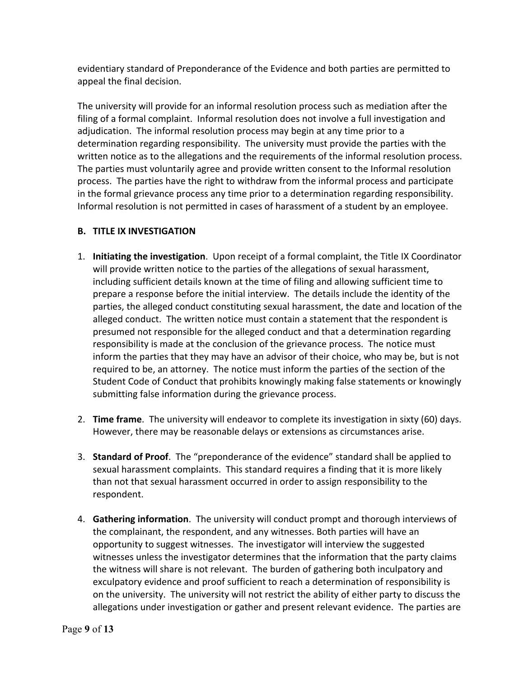evidentiary standard of Preponderance of the Evidence and both parties are permitted to appeal the final decision.

 The university will provide for an informal resolution process such as mediation after the filing of a formal complaint. Informal resolution does not involve a full investigation and adjudication. The informal resolution process may begin at any time prior to a determination regarding responsibility. The university must provide the parties with the written notice as to the allegations and the requirements of the informal resolution process. The parties must voluntarily agree and provide written consent to the Informal resolution process. The parties have the right to withdraw from the informal process and participate in the formal grievance process any time prior to a determination regarding responsibility. Informal resolution is not permitted in cases of harassment of a student by an employee.

## **B. TITLE IX INVESTIGATION**

- 1. **Initiating the investigation**. Upon receipt of a formal complaint, the Title IX Coordinator will provide written notice to the parties of the allegations of sexual harassment, including sufficient details known at the time of filing and allowing sufficient time to prepare a response before the initial interview. The details include the identity of the parties, the alleged conduct constituting sexual harassment, the date and location of the alleged conduct. The written notice must contain a statement that the respondent is presumed not responsible for the alleged conduct and that a determination regarding responsibility is made at the conclusion of the grievance process. The notice must inform the parties that they may have an advisor of their choice, who may be, but is not required to be, an attorney. The notice must inform the parties of the section of the Student Code of Conduct that prohibits knowingly making false statements or knowingly submitting false information during the grievance process.
- 2. **Time frame**. The university will endeavor to complete its investigation in sixty (60) days. However, there may be reasonable delays or extensions as circumstances arise.
- 3. **Standard of Proof**. The "preponderance of the evidence" standard shall be applied to sexual harassment complaints. This standard requires a finding that it is more likely than not that sexual harassment occurred in order to assign responsibility to the respondent.
- 4. **Gathering information**. The university will conduct prompt and thorough interviews of the complainant, the respondent, and any witnesses. Both parties will have an opportunity to suggest witnesses. The investigator will interview the suggested witnesses unless the investigator determines that the information that the party claims the witness will share is not relevant. The burden of gathering both inculpatory and exculpatory evidence and proof sufficient to reach a determination of responsibility is on the university. The university will not restrict the ability of either party to discuss the allegations under investigation or gather and present relevant evidence. The parties are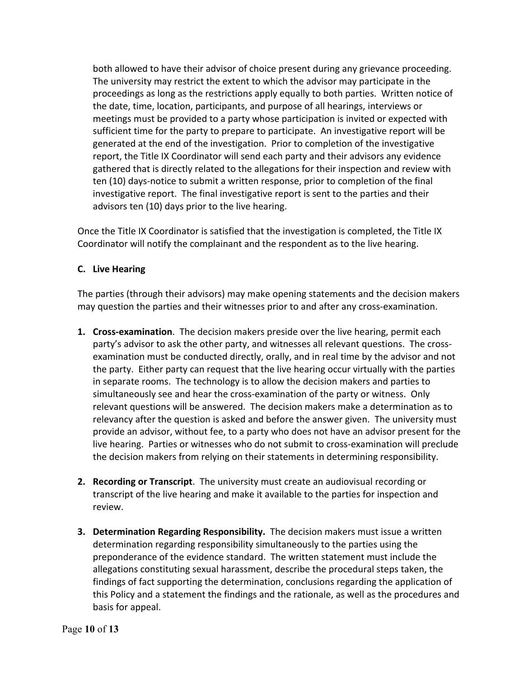both allowed to have their advisor of choice present during any grievance proceeding. The university may restrict the extent to which the advisor may participate in the proceedings as long as the restrictions apply equally to both parties. Written notice of the date, time, location, participants, and purpose of all hearings, interviews or meetings must be provided to a party whose participation is invited or expected with sufficient time for the party to prepare to participate. An investigative report will be generated at the end of the investigation. Prior to completion of the investigative report, the Title IX Coordinator will send each party and their advisors any evidence gathered that is directly related to the allegations for their inspection and review with ten (10) days-notice to submit a written response, prior to completion of the final investigative report. The final investigative report is sent to the parties and their advisors ten (10) days prior to the live hearing.

 Once the Title IX Coordinator is satisfied that the investigation is completed, the Title IX Coordinator will notify the complainant and the respondent as to the live hearing.

### **C. Live Hearing**

 The parties (through their advisors) may make opening statements and the decision makers may question the parties and their witnesses prior to and after any cross-examination.

- **1. Cross-examination**. The decision makers preside over the live hearing, permit each party's advisor to ask the other party, and witnesses all relevant questions. The cross- examination must be conducted directly, orally, and in real time by the advisor and not the party. Either party can request that the live hearing occur virtually with the parties in separate rooms. The technology is to allow the decision makers and parties to simultaneously see and hear the cross-examination of the party or witness. Only relevant questions will be answered. The decision makers make a determination as to relevancy after the question is asked and before the answer given. The university must provide an advisor, without fee, to a party who does not have an advisor present for the live hearing. Parties or witnesses who do not submit to cross-examination will preclude the decision makers from relying on their statements in determining responsibility.
- **2. Recording or Transcript**. The university must create an audiovisual recording or transcript of the live hearing and make it available to the parties for inspection and review.
- **3. Determination Regarding Responsibility.** The decision makers must issue a written determination regarding responsibility simultaneously to the parties using the preponderance of the evidence standard. The written statement must include the allegations constituting sexual harassment, describe the procedural steps taken, the findings of fact supporting the determination, conclusions regarding the application of this Policy and a statement the findings and the rationale, as well as the procedures and basis for appeal.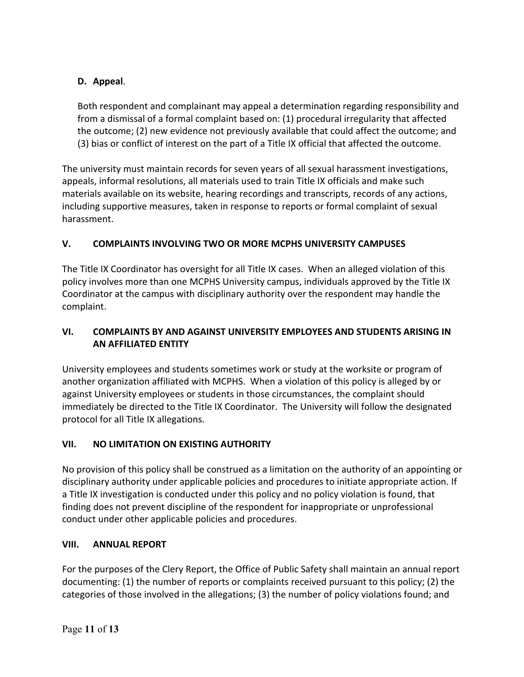## **D. Appeal**.

 Both respondent and complainant may appeal a determination regarding responsibility and from a dismissal of a formal complaint based on: (1) procedural irregularity that affected the outcome; (2) new evidence not previously available that could affect the outcome; and (3) bias or conflict of interest on the part of a Title IX official that affected the outcome.

 The university must maintain records for seven years of all sexual harassment investigations, appeals, informal resolutions, all materials used to train Title IX officials and make such materials available on its website, hearing recordings and transcripts, records of any actions, including supportive measures, taken in response to reports or formal complaint of sexual harassment.

### *<u>v*.</u> **V. COMPLAINTS INVOLVING TWO OR MORE MCPHS UNIVERSITY CAMPUSES**

 The Title IX Coordinator has oversight for all Title IX cases. When an alleged violation of this policy involves more than one MCPHS University campus, individuals approved by the Title IX Coordinator at the campus with disciplinary authority over the respondent may handle the complaint.

### $VI.$ **VI. COMPLAINTS BY AND AGAINST UNIVERSITY EMPLOYEES AND STUDENTS ARISING IN AN AFFILIATED ENTITY**

 University employees and students sometimes work or study at the worksite or program of another organization affiliated with MCPHS. When a violation of this policy is alleged by or against University employees or students in those circumstances, the complaint should immediately be directed to the Title IX Coordinator. The University will follow the designated protocol for all Title IX allegations.

### **VII. VII. NO LIMITATION ON EXISTING AUTHORITY**

 No provision of this policy shall be construed as a limitation on the authority of an appointing or disciplinary authority under applicable policies and procedures to initiate appropriate action. If a Title IX investigation is conducted under this policy and no policy violation is found, that finding does not prevent discipline of the respondent for inappropriate or unprofessional conduct under other applicable policies and procedures.

### **VIII. VIII. ANNUAL REPORT**

 For the purposes of the Clery Report, the Office of Public Safety shall maintain an annual report documenting: (1) the number of reports or complaints received pursuant to this policy; (2) the categories of those involved in the allegations; (3) the number of policy violations found; and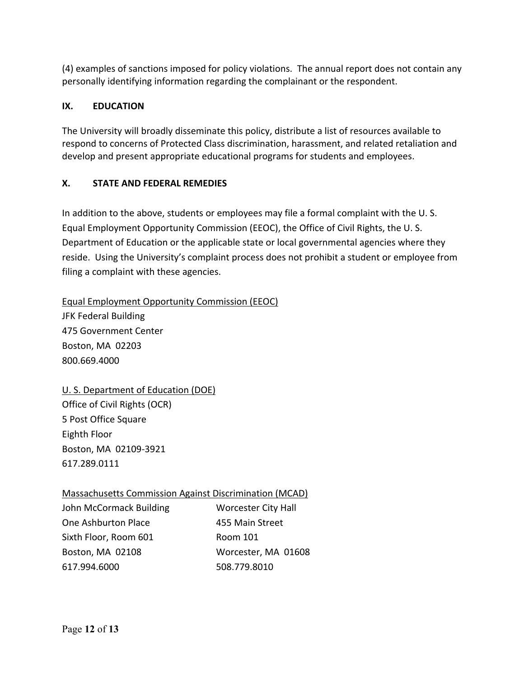(4) examples of sanctions imposed for policy violations. The annual report does not contain any personally identifying information regarding the complainant or the respondent.

### **1X. EDUCATION**

 The University will broadly disseminate this policy, distribute a list of resources available to respond to concerns of Protected Class discrimination, harassment, and related retaliation and develop and present appropriate educational programs for students and employees.

### **STATE AND FEDERAL REMEDIES**

 In addition to the above, students or employees may file a formal complaint with the U. S. Equal Employment Opportunity Commission (EEOC), the Office of Civil Rights, the U. S. Department of Education or the applicable state or local governmental agencies where they reside. Using the University's complaint process does not prohibit a student or employee from filing a complaint with these agencies.

 Equal Employment Opportunity Commission (EEOC) JFK Federal Building Boston, MA 02203 475 Government Center 800.669.4000

 U. S. Department of Education (DOE) Office of Civil Rights (OCR) 5 Post Office Square Eighth Floor Boston, MA 02109-3921 617.289.0111

 Massachusetts Commission Against Discrimination (MCAD) John McCormack Building Worcester City Hall One Ashburton Place **455 Main Street** Sixth Floor, Room 601 Room 101 Boston, MA 02108 617.994.6000 Worcester, MA 01608 617.994.6000 508.779.8010